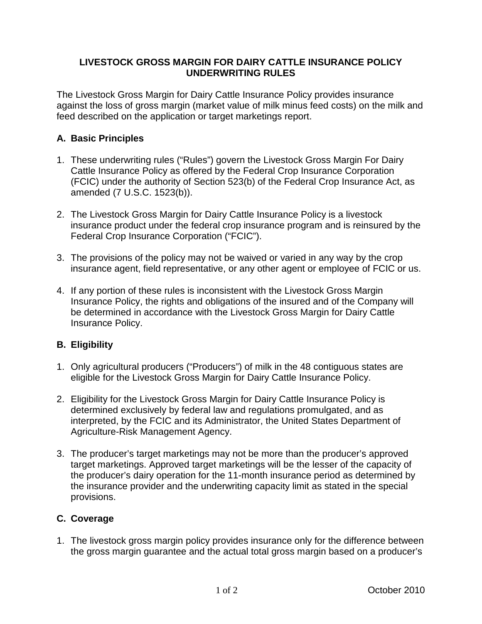## **LIVESTOCK GROSS MARGIN FOR DAIRY CATTLE INSURANCE POLICY UNDERWRITING RULES**

The Livestock Gross Margin for Dairy Cattle Insurance Policy provides insurance against the loss of gross margin (market value of milk minus feed costs) on the milk and feed described on the application or target marketings report.

## **A. Basic Principles**

- 1. These underwriting rules ("Rules") govern the Livestock Gross Margin For Dairy Cattle Insurance Policy as offered by the Federal Crop Insurance Corporation (FCIC) under the authority of Section 523(b) of the Federal Crop Insurance Act, as amended (7 U.S.C. 1523(b)).
- 2. The Livestock Gross Margin for Dairy Cattle Insurance Policy is a livestock insurance product under the federal crop insurance program and is reinsured by the Federal Crop Insurance Corporation ("FCIC").
- 3. The provisions of the policy may not be waived or varied in any way by the crop insurance agent, field representative, or any other agent or employee of FCIC or us.
- 4. If any portion of these rules is inconsistent with the Livestock Gross Margin Insurance Policy, the rights and obligations of the insured and of the Company will be determined in accordance with the Livestock Gross Margin for Dairy Cattle Insurance Policy.

## **B. Eligibility**

- 1. Only agricultural producers ("Producers") of milk in the 48 contiguous states are eligible for the Livestock Gross Margin for Dairy Cattle Insurance Policy.
- 2. Eligibility for the Livestock Gross Margin for Dairy Cattle Insurance Policy is determined exclusively by federal law and regulations promulgated, and as interpreted, by the FCIC and its Administrator, the United States Department of Agriculture-Risk Management Agency.
- 3. The producer's target marketings may not be more than the producer's approved target marketings. Approved target marketings will be the lesser of the capacity of the producer's dairy operation for the 11-month insurance period as determined by the insurance provider and the underwriting capacity limit as stated in the special provisions.

## **C. Coverage**

1. The livestock gross margin policy provides insurance only for the difference between the gross margin guarantee and the actual total gross margin based on a producer's